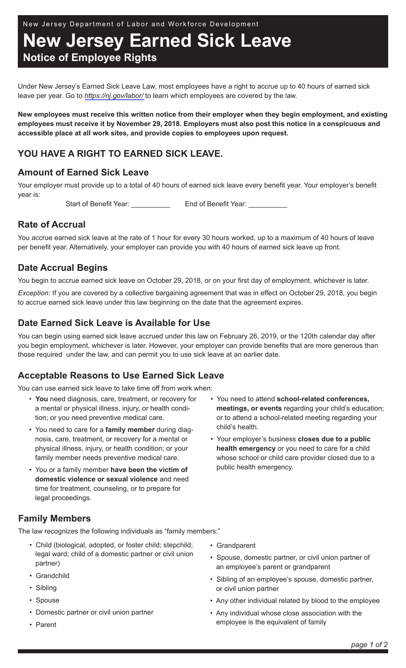New Jersey Department of Labor and Workforce Development

**New Jersey Earned Sick Leave Notice of Employee Rights**

Under New Jersey's Earned Sick Leave Law, most employees have a right to accrue up to 40 hours of earned sick leave per year. Go to *[https://nj.gov/labor/](https://nj.gov/labor/wagehour/lawregs/nj_state_wage_and_hour_laws_and_regulations.html#11D1)* to learn which employees are covered by the law.

**New employees must receive this written notice from their employer when they begin employment, and existing employees must receive it by November 29, 2018. Employers must also post this notice in a conspicuous and accessible place at all work sites, and provide copies to employees upon request.** 

# **YOU HAVE A RIGHT TO EARNED SICK LEAVE.**

## **Amount of Earned Sick Leave**

Your employer must provide up to a total of 40 hours of earned sick leave every benefit year. Your employer's benefit year is:

Start of Benefit Year: End of Benefit Year:

## **Rate of Accrual**

You accrue earned sick leave at the rate of 1 hour for every 30 hours worked, up to a maximum of 40 hours of leave per benefit year. Alternatively, your employer can provide you with 40 hours of earned sick leave up front.

## **Date Accrual Begins**

You begin to accrue earned sick leave on October 29, 2018, or on your first day of employment, whichever is later.

*Exception:* If you are covered by a collective bargaining agreement that was in effect on October 29, 2018, you begin to accrue earned sick leave under this law beginning on the date that the agreement expires.

## **Date Earned Sick Leave is Available for Use**

You can begin using earned sick leave accrued under this law on February 26, 2019, or the 120th calendar day after you begin employment, whichever is later. However, your employer can provide benefits that are more generous than those required under the law, and can permit you to use sick leave at an earlier date.

## **Acceptable Reasons to Use Earned Sick Leave**

You can use earned sick leave to take time off from work when:

- **You** need diagnosis, care, treatment, or recovery for a mental or physical illness, injury, or health condition; or you need preventive medical care.
- You need to care for a **family member** during diagnosis, care, treatment, or recovery for a mental or physical illness, injury, or health condition; or your family member needs preventive medical care.
- You or a family member **have been the victim of domestic violence or sexual violence** and need time for treatment, counseling, or to prepare for legal proceedings.
- You need to attend **school-related conferences, meetings, or events** regarding your child's education; or to attend a school-related meeting regarding your child's health.
- Your employer's business **closes due to a public health emergency** or you need to care for a child whose school or child care provider closed due to a public health emergency.

## **Family Members**

The law recognizes the following individuals as "family members:"

- Child (biological, adopted, or foster child; stepchild; legal ward; child of a domestic partner or civil union partner)
- Grandchild
- Sibling
- Spouse
- Domestic partner or civil union partner
- Parent
- Grandparent
- Spouse, domestic partner, or civil union partner of an employee's parent or grandparent
- Sibling of an employee's spouse, domestic partner, or civil union partner
- Any other individual related by blood to the employee
- Any individual whose close association with the employee is the equivalent of family